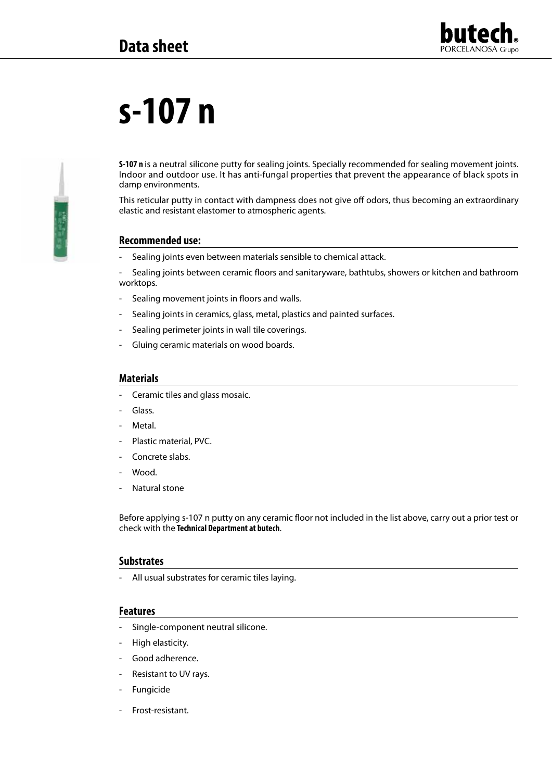

# **s-107 n**

**S-107 n** is a neutral silicone putty for sealing joints. Specially recommended for sealing movement joints. Indoor and outdoor use. It has anti-fungal properties that prevent the appearance of black spots in damp environments.

This reticular putty in contact with dampness does not give off odors, thus becoming an extraordinary elastic and resistant elastomer to atmospheric agents.

## **Recommended use:**

Sealing joints even between materials sensible to chemical attack.

- Sealing joints between ceramic floors and sanitaryware, bathtubs, showers or kitchen and bathroom worktops.

- Sealing movement joints in floors and walls.
- Sealing joints in ceramics, glass, metal, plastics and painted surfaces.
- Sealing perimeter joints in wall tile coverings.
- Gluing ceramic materials on wood boards.

#### **Materials**

- Ceramic tiles and glass mosaic.
- Glass.
- Metal.
- Plastic material, PVC.
- Concrete slabs.
- Wood.
- Natural stone

Before applying s-107 n putty on any ceramic floor not included in the list above, carry out a prior test or check with the **Technical Department at butech**.

#### **Substrates**

- All usual substrates for ceramic tiles laying.

#### **Features**

- Single-component neutral silicone.
- High elasticity.
- Good adherence.
- Resistant to UV rays.
- **Fungicide**
- Frost-resistant.

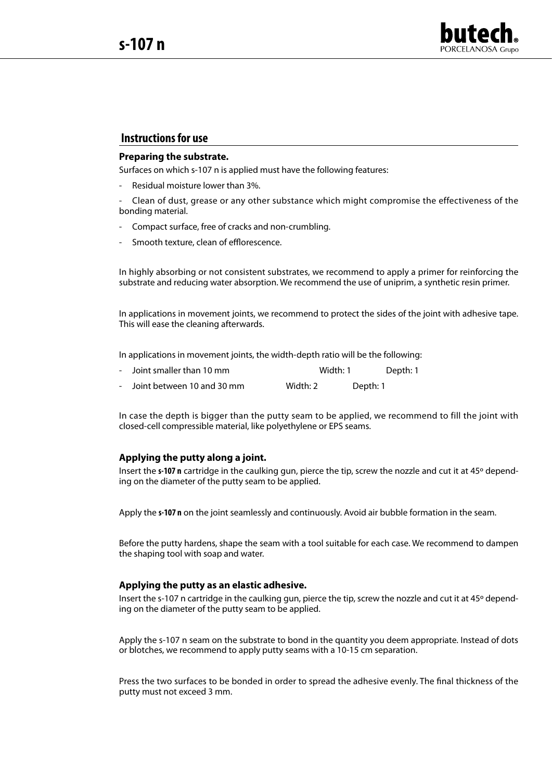

## **Instructions for use**

## **Preparing the substrate.**

Surfaces on which s-107 n is applied must have the following features:

- Residual moisture lower than 3%.

Clean of dust, grease or any other substance which might compromise the effectiveness of the bonding material.

- Compact surface, free of cracks and non-crumbling.
- Smooth texture, clean of efflorescence.

In highly absorbing or not consistent substrates, we recommend to apply a primer for reinforcing the substrate and reducing water absorption. We recommend the use of uniprim, a synthetic resin primer.

In applications in movement joints, we recommend to protect the sides of the joint with adhesive tape. This will ease the cleaning afterwards.

In applications in movement joints, the width-depth ratio will be the following:

- Joint smaller than 10 mm Width: 1 Depth: 1
- Joint between 10 and 30 mm Width: 2 Depth: 1

In case the depth is bigger than the putty seam to be applied, we recommend to fill the joint with closed-cell compressible material, like polyethylene or EPS seams.

#### **Applying the putty along a joint.**

Insert the **s-107 n** cartridge in the caulking gun, pierce the tip, screw the nozzle and cut it at 45º depending on the diameter of the putty seam to be applied.

Apply the **s-107 n** on the joint seamlessly and continuously. Avoid air bubble formation in the seam.

Before the putty hardens, shape the seam with a tool suitable for each case. We recommend to dampen the shaping tool with soap and water.

#### **Applying the putty as an elastic adhesive.**

Insert the s-107 n cartridge in the caulking gun, pierce the tip, screw the nozzle and cut it at 45º depending on the diameter of the putty seam to be applied.

Apply the s-107 n seam on the substrate to bond in the quantity you deem appropriate. Instead of dots or blotches, we recommend to apply putty seams with a 10-15 cm separation.

Press the two surfaces to be bonded in order to spread the adhesive evenly. The final thickness of the putty must not exceed 3 mm.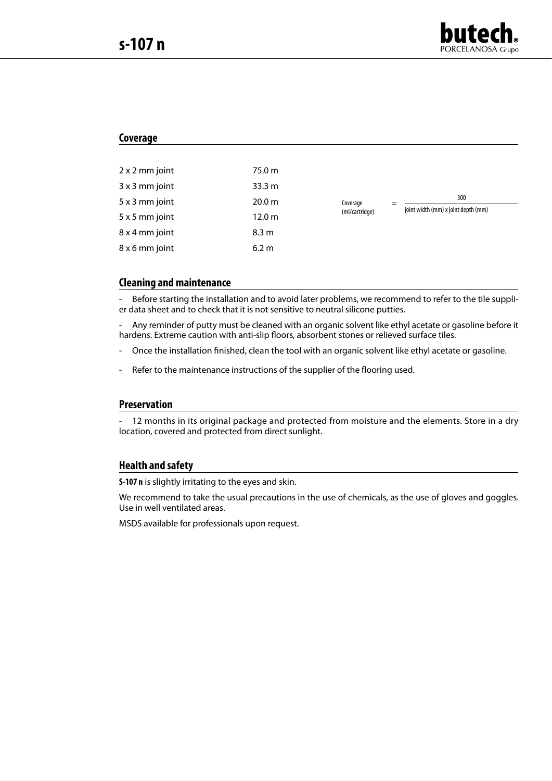

### **Coverage**

| 2 x 2 mm joint | 75.0 m            |                            |                                            |
|----------------|-------------------|----------------------------|--------------------------------------------|
| $3x3$ mm joint | 33.3 <sub>m</sub> | Coverage<br>(ml/cartridge) | 300<br>joint width (mm) x joint depth (mm) |
| 5 x 3 mm joint | 20.0 m            |                            |                                            |
| 5 x 5 mm joint | 12.0 m            |                            |                                            |
| 8 x 4 mm joint | 8.3 m             |                            |                                            |
| 8 x 6 mm joint | 6.2 m             |                            |                                            |

## **Cleaning and maintenance**

Before starting the installation and to avoid later problems, we recommend to refer to the tile supplier data sheet and to check that it is not sensitive to neutral silicone putties.

- Any reminder of putty must be cleaned with an organic solvent like ethyl acetate or gasoline before it hardens. Extreme caution with anti-slip floors, absorbent stones or relieved surface tiles.

- Once the installation finished, clean the tool with an organic solvent like ethyl acetate or gasoline.
- Refer to the maintenance instructions of the supplier of the flooring used.

### **Preservation**

12 months in its original package and protected from moisture and the elements. Store in a dry location, covered and protected from direct sunlight.

## **Health and safety**

**S-107 n** is slightly irritating to the eyes and skin.

We recommend to take the usual precautions in the use of chemicals, as the use of gloves and goggles. Use in well ventilated areas.

MSDS available for professionals upon request.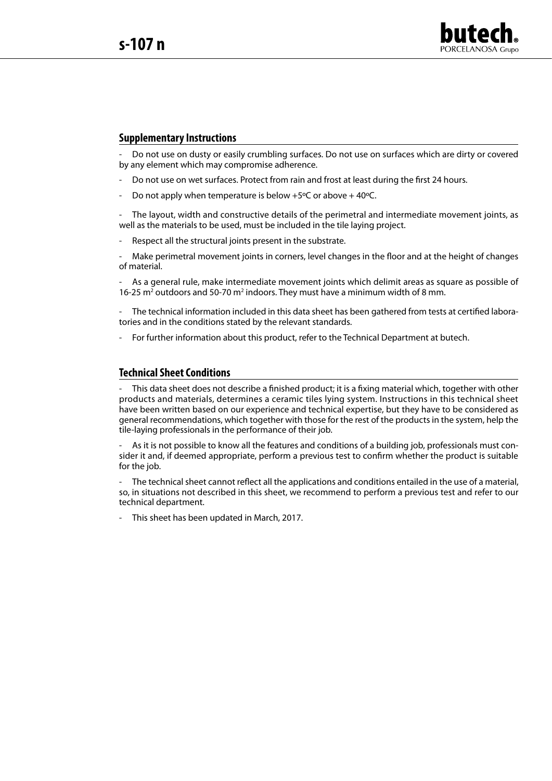

## **Supplementary Instructions**

- Do not use on dusty or easily crumbling surfaces. Do not use on surfaces which are dirty or covered by any element which may compromise adherence.

- Do not use on wet surfaces. Protect from rain and frost at least during the first 24 hours.
- Do not apply when temperature is below +5 $\degree$ C or above + 40 $\degree$ C.

The layout, width and constructive details of the perimetral and intermediate movement joints, as well as the materials to be used, must be included in the tile laying project.

Respect all the structural joints present in the substrate.

Make perimetral movement joints in corners, level changes in the floor and at the height of changes of material.

As a general rule, make intermediate movement joints which delimit areas as square as possible of 16-25  $m^2$  outdoors and 50-70  $m^2$  indoors. They must have a minimum width of 8 mm.

- The technical information included in this data sheet has been gathered from tests at certified laboratories and in the conditions stated by the relevant standards.

- For further information about this product, refer to the Technical Department at butech.

#### **Technical Sheet Conditions**

This data sheet does not describe a finished product; it is a fixing material which, together with other products and materials, determines a ceramic tiles lying system. Instructions in this technical sheet have been written based on our experience and technical expertise, but they have to be considered as general recommendations, which together with those for the rest of the products in the system, help the tile-laying professionals in the performance of their job.

As it is not possible to know all the features and conditions of a building job, professionals must consider it and, if deemed appropriate, perform a previous test to confirm whether the product is suitable for the job.

- The technical sheet cannot reflect all the applications and conditions entailed in the use of a material, so, in situations not described in this sheet, we recommend to perform a previous test and refer to our technical department.

This sheet has been updated in March, 2017.